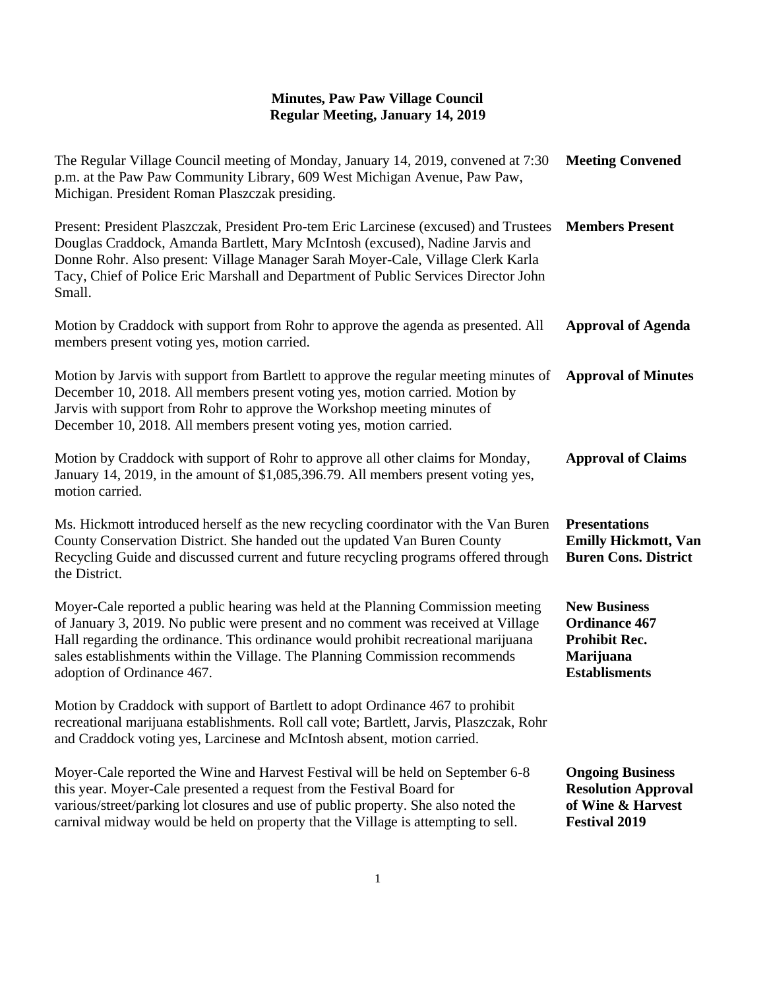| The Regular Village Council meeting of Monday, January 14, 2019, convened at 7:30<br>p.m. at the Paw Paw Community Library, 609 West Michigan Avenue, Paw Paw,<br>Michigan. President Roman Plaszczak presiding.                                                                                                                                                         | <b>Meeting Convened</b>                                                                                  |
|--------------------------------------------------------------------------------------------------------------------------------------------------------------------------------------------------------------------------------------------------------------------------------------------------------------------------------------------------------------------------|----------------------------------------------------------------------------------------------------------|
| Present: President Plaszczak, President Pro-tem Eric Larcinese (excused) and Trustees<br>Douglas Craddock, Amanda Bartlett, Mary McIntosh (excused), Nadine Jarvis and<br>Donne Rohr. Also present: Village Manager Sarah Moyer-Cale, Village Clerk Karla<br>Tacy, Chief of Police Eric Marshall and Department of Public Services Director John<br>Small.               | <b>Members Present</b>                                                                                   |
| Motion by Craddock with support from Rohr to approve the agenda as presented. All<br>members present voting yes, motion carried.                                                                                                                                                                                                                                         | <b>Approval of Agenda</b>                                                                                |
| Motion by Jarvis with support from Bartlett to approve the regular meeting minutes of<br>December 10, 2018. All members present voting yes, motion carried. Motion by<br>Jarvis with support from Rohr to approve the Workshop meeting minutes of<br>December 10, 2018. All members present voting yes, motion carried.                                                  | <b>Approval of Minutes</b>                                                                               |
| Motion by Craddock with support of Rohr to approve all other claims for Monday,<br>January 14, 2019, in the amount of \$1,085,396.79. All members present voting yes,<br>motion carried.                                                                                                                                                                                 | <b>Approval of Claims</b>                                                                                |
| Ms. Hickmott introduced herself as the new recycling coordinator with the Van Buren<br>County Conservation District. She handed out the updated Van Buren County<br>Recycling Guide and discussed current and future recycling programs offered through<br>the District.                                                                                                 | <b>Presentations</b><br><b>Emilly Hickmott, Van</b><br><b>Buren Cons. District</b>                       |
| Moyer-Cale reported a public hearing was held at the Planning Commission meeting<br>of January 3, 2019. No public were present and no comment was received at Village<br>Hall regarding the ordinance. This ordinance would prohibit recreational marijuana<br>sales establishments within the Village. The Planning Commission recommends<br>adoption of Ordinance 467. | <b>New Business</b><br><b>Ordinance 467</b><br><b>Prohibit Rec.</b><br>Marijuana<br><b>Establisments</b> |
| Motion by Craddock with support of Bartlett to adopt Ordinance 467 to prohibit<br>recreational marijuana establishments. Roll call vote; Bartlett, Jarvis, Plaszczak, Rohr<br>and Craddock voting yes, Larcinese and McIntosh absent, motion carried.                                                                                                                    |                                                                                                          |
| Moyer-Cale reported the Wine and Harvest Festival will be held on September 6-8<br>this year. Moyer-Cale presented a request from the Festival Board for<br>various/street/parking lot closures and use of public property. She also noted the<br>carnival midway would be held on property that the Village is attempting to sell.                                      | <b>Ongoing Business</b><br><b>Resolution Approval</b><br>of Wine & Harvest<br><b>Festival 2019</b>       |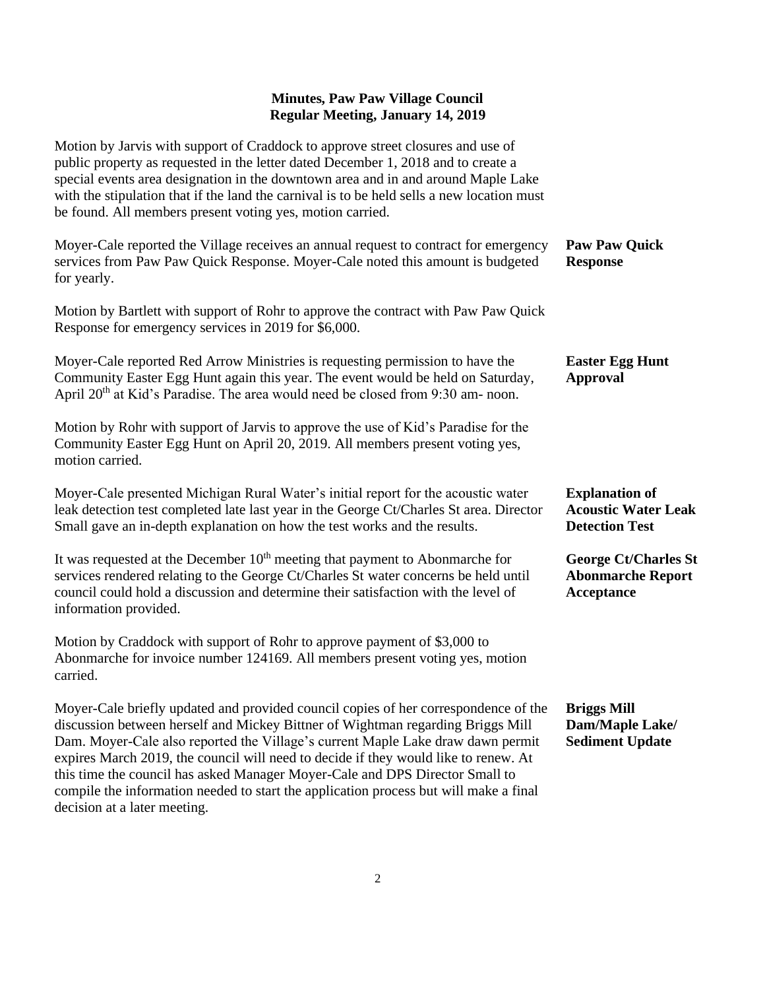| Motion by Jarvis with support of Craddock to approve street closures and use of<br>public property as requested in the letter dated December 1, 2018 and to create a<br>special events area designation in the downtown area and in and around Maple Lake<br>with the stipulation that if the land the carnival is to be held sells a new location must<br>be found. All members present voting yes, motion carried.                                                                                                      |                                                                              |
|---------------------------------------------------------------------------------------------------------------------------------------------------------------------------------------------------------------------------------------------------------------------------------------------------------------------------------------------------------------------------------------------------------------------------------------------------------------------------------------------------------------------------|------------------------------------------------------------------------------|
| Moyer-Cale reported the Village receives an annual request to contract for emergency<br>services from Paw Paw Quick Response. Moyer-Cale noted this amount is budgeted<br>for yearly.                                                                                                                                                                                                                                                                                                                                     | <b>Paw Paw Quick</b><br><b>Response</b>                                      |
| Motion by Bartlett with support of Rohr to approve the contract with Paw Paw Quick<br>Response for emergency services in 2019 for \$6,000.                                                                                                                                                                                                                                                                                                                                                                                |                                                                              |
| Moyer-Cale reported Red Arrow Ministries is requesting permission to have the<br>Community Easter Egg Hunt again this year. The event would be held on Saturday,<br>April 20 <sup>th</sup> at Kid's Paradise. The area would need be closed from 9:30 am- noon.                                                                                                                                                                                                                                                           | <b>Easter Egg Hunt</b><br><b>Approval</b>                                    |
| Motion by Rohr with support of Jarvis to approve the use of Kid's Paradise for the<br>Community Easter Egg Hunt on April 20, 2019. All members present voting yes,<br>motion carried.                                                                                                                                                                                                                                                                                                                                     |                                                                              |
| Moyer-Cale presented Michigan Rural Water's initial report for the acoustic water<br>leak detection test completed late last year in the George Ct/Charles St area. Director<br>Small gave an in-depth explanation on how the test works and the results.                                                                                                                                                                                                                                                                 | <b>Explanation of</b><br><b>Acoustic Water Leak</b><br><b>Detection Test</b> |
| It was requested at the December $10th$ meeting that payment to Abonmarche for<br>services rendered relating to the George Ct/Charles St water concerns be held until<br>council could hold a discussion and determine their satisfaction with the level of<br>information provided.                                                                                                                                                                                                                                      | <b>George Ct/Charles St</b><br><b>Abonmarche Report</b><br>Acceptance        |
| Motion by Craddock with support of Rohr to approve payment of \$3,000 to<br>Abonmarche for invoice number 124169. All members present voting yes, motion<br>carried.                                                                                                                                                                                                                                                                                                                                                      |                                                                              |
| Moyer-Cale briefly updated and provided council copies of her correspondence of the<br>discussion between herself and Mickey Bittner of Wightman regarding Briggs Mill<br>Dam. Moyer-Cale also reported the Village's current Maple Lake draw dawn permit<br>expires March 2019, the council will need to decide if they would like to renew. At<br>this time the council has asked Manager Moyer-Cale and DPS Director Small to<br>compile the information needed to start the application process but will make a final | <b>Briggs Mill</b><br>Dam/Maple Lake/<br><b>Sediment Update</b>              |

decision at a later meeting.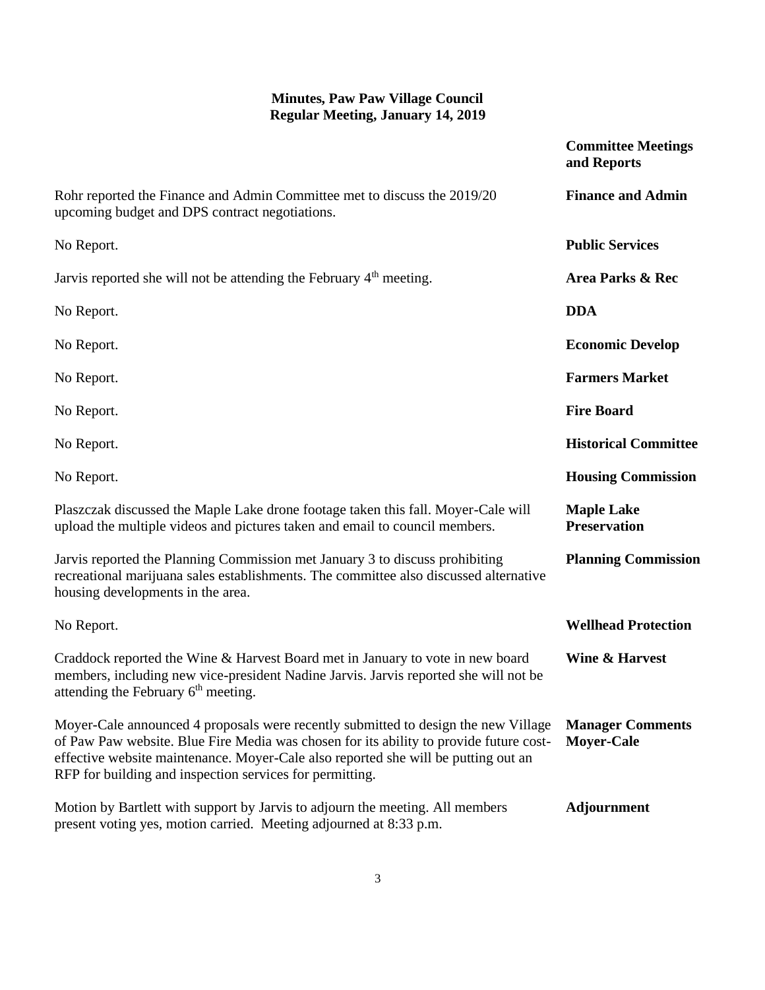|                                                                                                                                                                                                                                                                                                                                | <b>Committee Meetings</b><br>and Reports     |
|--------------------------------------------------------------------------------------------------------------------------------------------------------------------------------------------------------------------------------------------------------------------------------------------------------------------------------|----------------------------------------------|
| Rohr reported the Finance and Admin Committee met to discuss the 2019/20<br>upcoming budget and DPS contract negotiations.                                                                                                                                                                                                     | <b>Finance and Admin</b>                     |
| No Report.                                                                                                                                                                                                                                                                                                                     | <b>Public Services</b>                       |
| Jarvis reported she will not be attending the February 4 <sup>th</sup> meeting.                                                                                                                                                                                                                                                | Area Parks & Rec                             |
| No Report.                                                                                                                                                                                                                                                                                                                     | <b>DDA</b>                                   |
| No Report.                                                                                                                                                                                                                                                                                                                     | <b>Economic Develop</b>                      |
| No Report.                                                                                                                                                                                                                                                                                                                     | <b>Farmers Market</b>                        |
| No Report.                                                                                                                                                                                                                                                                                                                     | <b>Fire Board</b>                            |
| No Report.                                                                                                                                                                                                                                                                                                                     | <b>Historical Committee</b>                  |
| No Report.                                                                                                                                                                                                                                                                                                                     | <b>Housing Commission</b>                    |
| Plaszczak discussed the Maple Lake drone footage taken this fall. Moyer-Cale will<br>upload the multiple videos and pictures taken and email to council members.                                                                                                                                                               | <b>Maple Lake</b><br><b>Preservation</b>     |
| Jarvis reported the Planning Commission met January 3 to discuss prohibiting<br>recreational marijuana sales establishments. The committee also discussed alternative<br>housing developments in the area.                                                                                                                     | <b>Planning Commission</b>                   |
| No Report.                                                                                                                                                                                                                                                                                                                     | <b>Wellhead Protection</b>                   |
| Craddock reported the Wine & Harvest Board met in January to vote in new board<br>members, including new vice-president Nadine Jarvis. Jarvis reported she will not be<br>attending the February 6 <sup>th</sup> meeting.                                                                                                      | <b>Wine &amp; Harvest</b>                    |
| Moyer-Cale announced 4 proposals were recently submitted to design the new Village<br>of Paw Paw website. Blue Fire Media was chosen for its ability to provide future cost-<br>effective website maintenance. Moyer-Cale also reported she will be putting out an<br>RFP for building and inspection services for permitting. | <b>Manager Comments</b><br><b>Moyer-Cale</b> |
| Motion by Bartlett with support by Jarvis to adjourn the meeting. All members<br>present voting yes, motion carried. Meeting adjourned at 8:33 p.m.                                                                                                                                                                            | <b>Adjournment</b>                           |